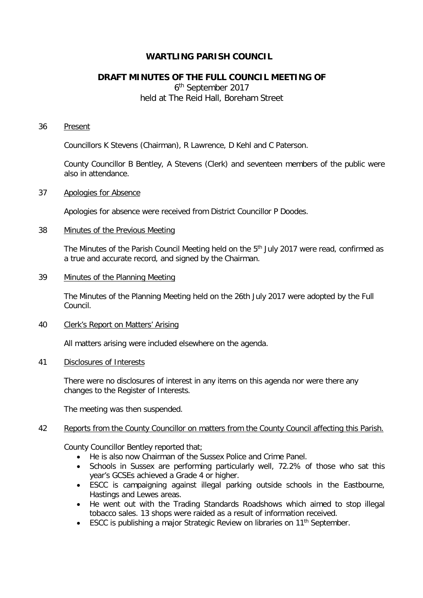# **WARTLING PARISH COUNCIL**

# **DRAFT MINUTES OF THE FULL COUNCIL MEETING OF**

6th September 2017 held at The Reid Hall, Boreham Street

#### 36 Present

Councillors K Stevens (Chairman), R Lawrence, D Kehl and C Paterson.

County Councillor B Bentley, A Stevens (Clerk) and seventeen members of the public were also in attendance.

#### 37 Apologies for Absence

Apologies for absence were received from District Councillor P Doodes.

#### 38 Minutes of the Previous Meeting

The Minutes of the Parish Council Meeting held on the 5<sup>th</sup> July 2017 were read, confirmed as a true and accurate record, and signed by the Chairman.

#### 39 Minutes of the Planning Meeting

The Minutes of the Planning Meeting held on the 26th July 2017 were adopted by the Full Council.

### 40 Clerk's Report on Matters' Arising

All matters arising were included elsewhere on the agenda.

# 41 Disclosures of Interests

There were no disclosures of interest in any items on this agenda nor were there any changes to the Register of Interests.

The meeting was then suspended.

## 42 Reports from the County Councillor on matters from the County Council affecting this Parish.

County Councillor Bentley reported that;

- He is also now Chairman of the Sussex Police and Crime Panel.
- Schools in Sussex are performing particularly well, 72.2% of those who sat this year's GCSEs achieved a Grade 4 or higher.
- ESCC is campaigning against illegal parking outside schools in the Eastbourne, Hastings and Lewes areas.
- He went out with the Trading Standards Roadshows which aimed to stop illegal tobacco sales. 13 shops were raided as a result of information received.
- ESCC is publishing a major Strategic Review on libraries on 11<sup>th</sup> September.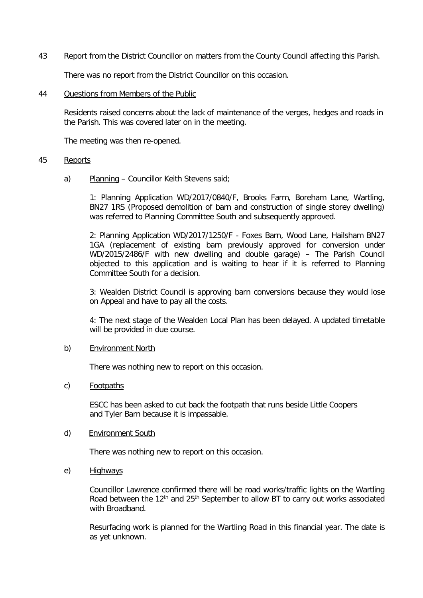# 43 Report from the District Councillor on matters from the County Council affecting this Parish.

There was no report from the District Councillor on this occasion.

#### 44 Questions from Members of the Public

Residents raised concerns about the lack of maintenance of the verges, hedges and roads in the Parish. This was covered later on in the meeting.

The meeting was then re-opened.

#### 45 Reports

a) Planning – Councillor Keith Stevens said;

1: Planning Application WD/2017/0840/F, Brooks Farm, Boreham Lane, Wartling, BN27 1RS (Proposed demolition of barn and construction of single storey dwelling) was referred to Planning Committee South and subsequently approved.

2: Planning Application WD/2017/1250/F - Foxes Barn, Wood Lane, Hailsham BN27 1GA (replacement of existing barn previously approved for conversion under WD/2015/2486/F with new dwelling and double garage) – The Parish Council objected to this application and is waiting to hear if it is referred to Planning Committee South for a decision.

3: Wealden District Council is approving barn conversions because they would lose on Appeal and have to pay all the costs.

4: The next stage of the Wealden Local Plan has been delayed. A updated timetable will be provided in due course.

#### b) Environment North

There was nothing new to report on this occasion.

# c) Footpaths

ESCC has been asked to cut back the footpath that runs beside Little Coopers and Tyler Barn because it is impassable.

#### d) Environment South

There was nothing new to report on this occasion.

# e) Highways

Councillor Lawrence confirmed there will be road works/traffic lights on the Wartling Road between the 12<sup>th</sup> and 25<sup>th</sup> September to allow BT to carry out works associated with Broadband.

Resurfacing work is planned for the Wartling Road in this financial year. The date is as yet unknown.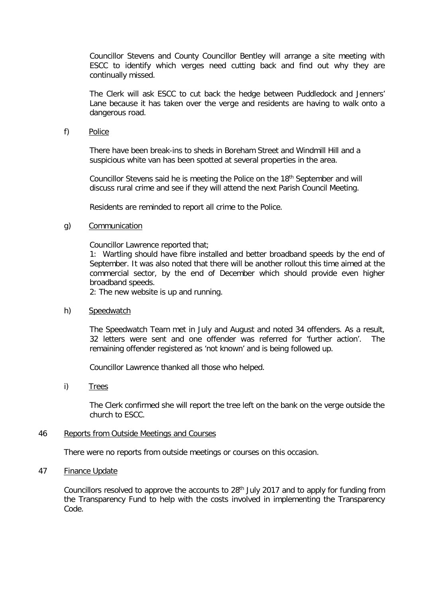Councillor Stevens and County Councillor Bentley will arrange a site meeting with ESCC to identify which verges need cutting back and find out why they are continually missed.

The Clerk will ask ESCC to cut back the hedge between Puddledock and Jenners' Lane because it has taken over the verge and residents are having to walk onto a dangerous road.

#### f) Police

 There have been break-ins to sheds in Boreham Street and Windmill Hill and a suspicious white van has been spotted at several properties in the area.

Councillor Stevens said he is meeting the Police on the 18<sup>th</sup> September and will discuss rural crime and see if they will attend the next Parish Council Meeting.

Residents are reminded to report all crime to the Police.

### g) Communication

Councillor Lawrence reported that;

1: Wartling should have fibre installed and better broadband speeds by the end of September. It was also noted that there will be another rollout this time aimed at the commercial sector, by the end of December which should provide even higher broadband speeds.

2: The new website is up and running.

#### h) Speedwatch

The Speedwatch Team met in July and August and noted 34 offenders. As a result, 32 letters were sent and one offender was referred for 'further action'. The remaining offender registered as 'not known' and is being followed up.

Councillor Lawrence thanked all those who helped.

i) Trees

The Clerk confirmed she will report the tree left on the bank on the verge outside the church to ESCC.

#### 46 Reports from Outside Meetings and Courses

There were no reports from outside meetings or courses on this occasion.

# 47 Finance Update

Councillors resolved to approve the accounts to 28<sup>th</sup> July 2017 and to apply for funding from the Transparency Fund to help with the costs involved in implementing the Transparency Code.